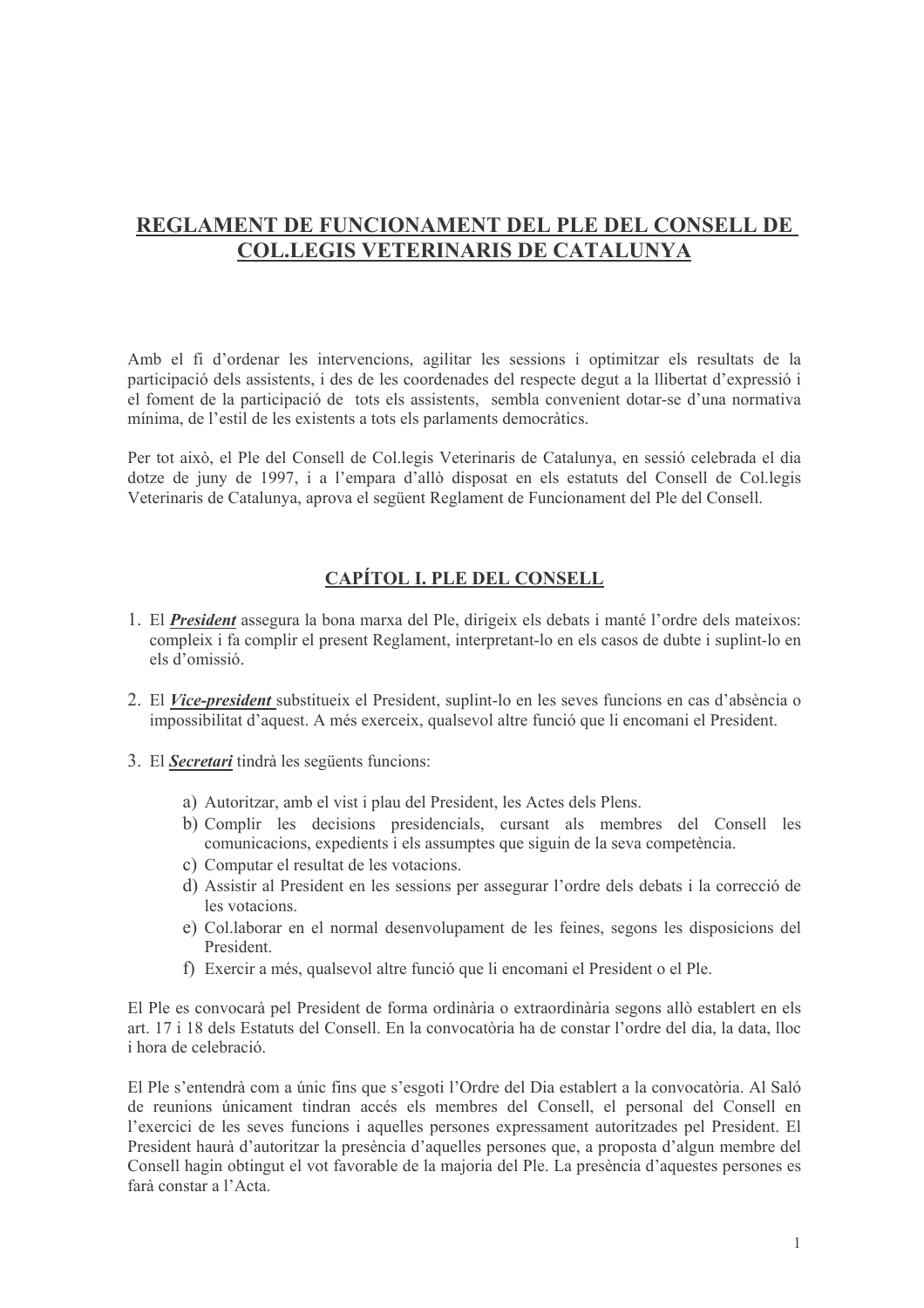# REGLAMENT DE FUNCIONAMENT DEL PLE DEL CONSELL DE **COL.LEGIS VETERINARIS DE CATALUNYA**

Amb el fi d'ordenar les intervencions, agilitar les sessions i optimitzar els resultats de la participació dels assistents, i des de les coordenades del respecte degut a la llibertat d'expressió i el foment de la participació de tots els assistents, sembla convenient dotar-se d'una normativa mínima, de l'estil de les existents a tots els parlaments democràtics.

Per tot això, el Ple del Consell de Col·legis Veterinaris de Catalunya, en sessió celebrada el dia dotze de juny de 1997, i a l'empara d'allò disposat en els estatuts del Consell de Col. legis Veterinaris de Catalunya, aprova el següent Reglament de Funcionament del Ple del Consell.

#### **CAPÍTOL I. PLE DEL CONSELL**

- 1. El *President* assegura la bona marxa del Ple, dirigeix els debats i manté l'ordre dels mateixos: compleix i fa complir el present Reglament, interpretant-lo en els casos de dubte i suplint-lo en els d'omissió
- 2. El *Vice-president* substitueix el President, suplint-lo en les seves funcions en cas d'absència o impossibilitat d'aquest. A més exerceix, qualsevol altre funció que li encomani el President.
- 3. El **Secretari** tindrà les següents funcions:
	- a) Autoritzar, amb el vist i plau del President, les Actes dels Plens.
	- b) Complir les decisions presidencials, cursant als membres del Consell les comunicacions, expedients i els assumptes que siguin de la seva competència.
	- c) Computar el resultat de les votacions.
	- d) Assistir al President en les sessions per assegurar l'ordre dels debats i la correcció de les votacions.
	- e) Col. laborar en el normal desenvolupament de les feines, segons les disposicions del President
	- f) Exercir a més, qualsevol altre funció que li encomani el President o el Ple.

El Ple es convocarà pel President de forma ordinària o extraordinària segons allò establert en els art. 17 i 18 dels Estatuts del Consell. En la convocatòria ha de constar l'ordre del dia, la data, lloc i hora de celebració

El Ple s'entendrà com a únic fins que s'esgoti l'Ordre del Dia establert a la convocatòria. Al Saló de reunions únicament tindran accés els membres del Consell, el personal del Consell en l'exercici de les seves funcions i aquelles persones expressament autoritzades pel President. El President haurà d'autoritzar la presència d'aquelles persones que, a proposta d'algun membre del Consell hagin obtingut el vot favorable de la majoria del Ple. La presència d'aquestes persones es farà constar a l'Acta.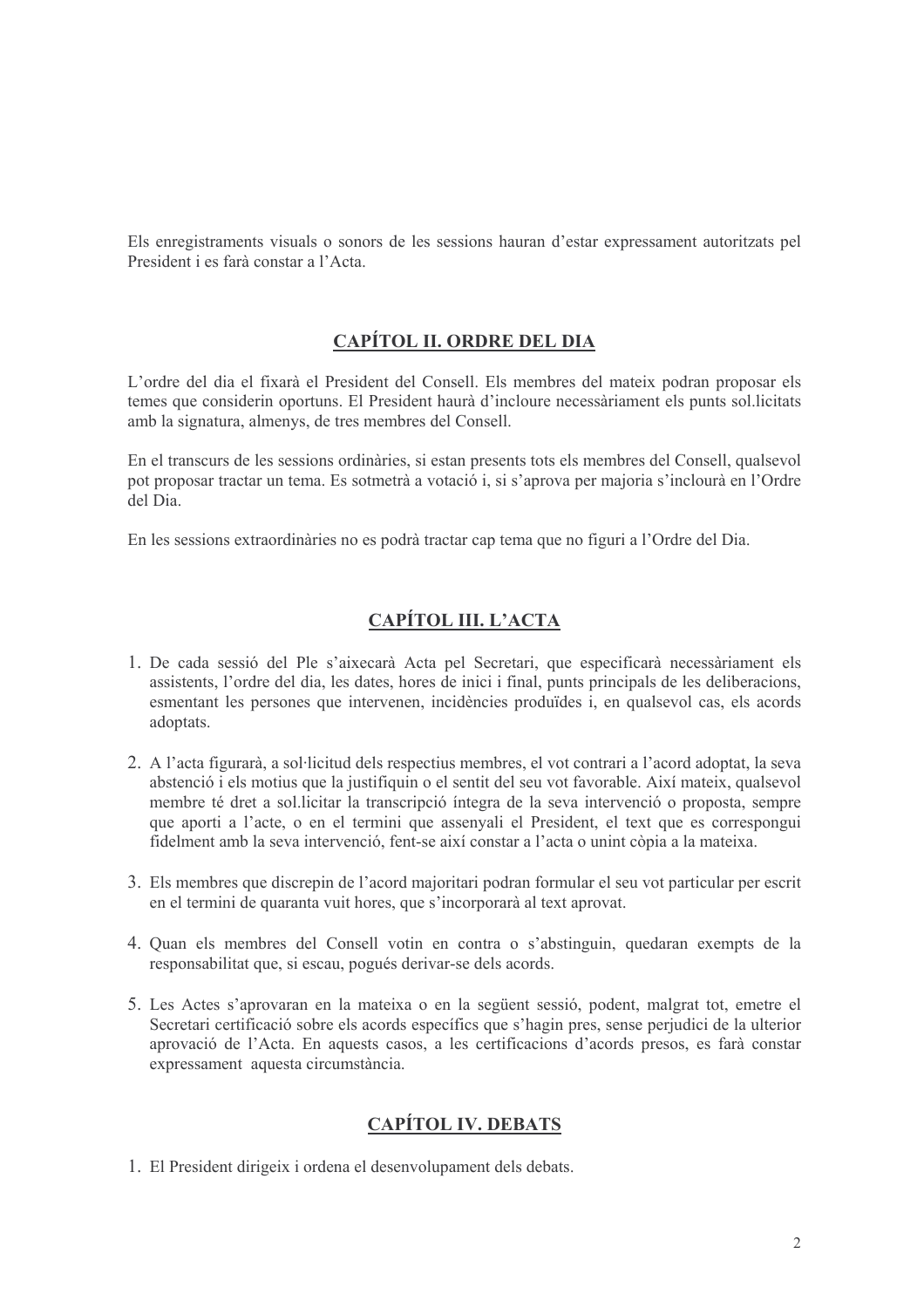Els enregistraments visuals o sonors de les sessions hauran d'estar expressament autoritzats pel President i es farà constar a l'Acta.

#### **CAPÍTOL II. ORDRE DEL DIA**

L'ordre del dia el fixarà el President del Consell. Els membres del mateix podran proposar els temes que considerin oportuns. El President haurà d'incloure necessàriament els punts sol. licitats amb la signatura, almenys, de tres membres del Consell.

En el transcurs de les sessions ordinàries, si estan presents tots els membres del Consell, qualsevol pot proposar tractar un tema. Es sotmetrà a votació i, si s'aprova per majoria s'inclourà en l'Ordre del Dia

En les sessions extraordinàries no es podrà tractar cap tema que no figuri a l'Ordre del Dia.

### CAPÍTOL III. L'ACTA

- 1. De cada sessió del Ple s'aixecarà Acta pel Secretari, que especificarà necessàriament els assistents, l'ordre del dia, les dates, hores de inici i final, punts principals de les deliberacions, esmentant les persones que intervenen, incidències produïdes i, en qualsevol cas, els acords adoptats.
- 2. A l'acta figurarà, a sol·licitud dels respectius membres, el vot contrari a l'acord adoptat, la seva abstenció i els motius que la justifiquin o el sentit del seu vot favorable. Així mateix, qualsevol membre té dret a sol.licitar la transcripció íntegra de la seva intervenció o proposta, sempre que aporti a l'acte, o en el termini que assenyali el President, el text que es correspongui fidelment amb la seva intervenció, fent-se així constar a l'acta o unint còpia a la mateixa.
- 3. Els membres que discrepin de l'acord majoritari podran formular el seu vot particular per escrit en el termini de quaranta vuit hores, que s'incorporarà al text aprovat.
- 4. Quan els membres del Consell votin en contra o s'abstinguin, quedaran exempts de la responsabilitat que, si escau, pogués derivar-se dels acords.
- 5. Les Actes s'aprovaran en la mateixa o en la següent sessió, podent, malgrat tot, emetre el Secretari certificació sobre els acords específics que s'hagin pres, sense perjudici de la ulterior aprovació de l'Acta. En aquests casos, a les certificacions d'acords presos, es farà constar expressament aquesta circumstància.

### **CAPÍTOL IV. DEBATS**

1. El President dirigeix i ordena el desenvolupament dels debats.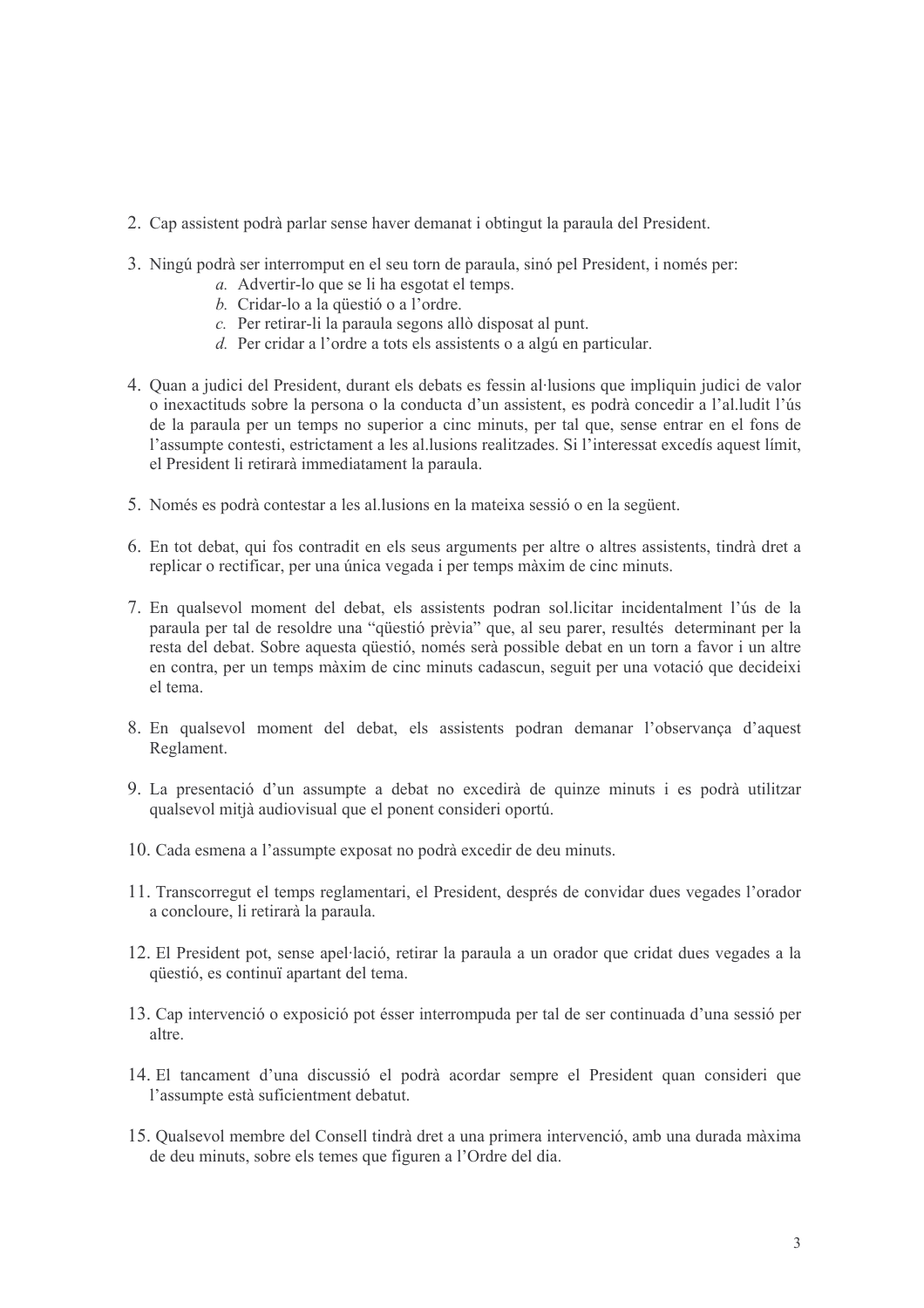- 2. Cap assistent podrà parlar sense haver demanat i obtingut la paraula del President.
- 3. Ningú podrà ser interromput en el seu torn de paraula, sinó pel President, i només per:
	- a. Advertir-lo que se li ha esgotat el temps.
	- b. Cridar-lo a la questió o a l'ordre.
	- c. Per retirar-li la paraula segons allò disposat al punt.
	- d. Per cridar a l'ordre a tots els assistents o a algú en particular.
- 4. Quan a judici del President, durant els debats es fessin al·lusions que impliquin judici de valor o inexactituds sobre la persona o la conducta d'un assistent, es podrà concedir a l'al. ludit l'ús de la paraula per un temps no superior a cinc minuts, per tal que, sense entrar en el fons de l'assumpte contesti, estrictament a les al lusions realitzades. Si l'interessat excedís aquest límit. el President li retirarà immediatament la paraula
- 5. Només es podrà contestar a les al. lusions en la mateixa sessió o en la següent.
- 6. En tot debat, qui fos contradit en els seus arguments per altre o altres assistents, tindrà dret a replicar o rectificar, per una única vegada i per temps màxim de cinc minuts.
- 7. En qualsevol moment del debat, els assistents podran sol.licitar incidentalment l'ús de la paraula per tal de resoldre una "qüestió prèvia" que, al seu parer, resultés determinant per la resta del debat. Sobre aquesta questió, només serà possible debat en un torn a favor i un altre en contra, per un temps màxim de cinc minuts cadascun, seguit per una votació que decideixi el tema
- 8. En qualsevol moment del debat, els assistents podran demanar l'observança d'aquest Reglament.
- 9. La presentació d'un assumpte a debat no excedirà de quinze minuts i es podrà utilitzar qualsevol mitià audiovisual que el ponent consideri oportú.
- 10. Cada esmena a l'assumpte exposat no podrà excedir de deu minuts.
- 11. Transcorregut el temps reglamentari, el President, després de convidar dues vegades l'orador a concloure, li retirarà la paraula.
- 12. El President pot, sense apel·lació, retirar la paraula a un orador que cridat dues vegades a la questió, es continuï apartant del tema.
- 13. Cap intervenció o exposició pot ésser interrompuda per tal de ser continuada d'una sessió per altre
- 14. El tancament d'una discussió el podrà acordar sempre el President quan consideri que l'assumpte està suficientment debatut.
- 15. Qualsevol membre del Consell tindrà dret a una primera intervenció, amb una durada màxima de deu minuts, sobre els temes que figuren a l'Ordre del dia.